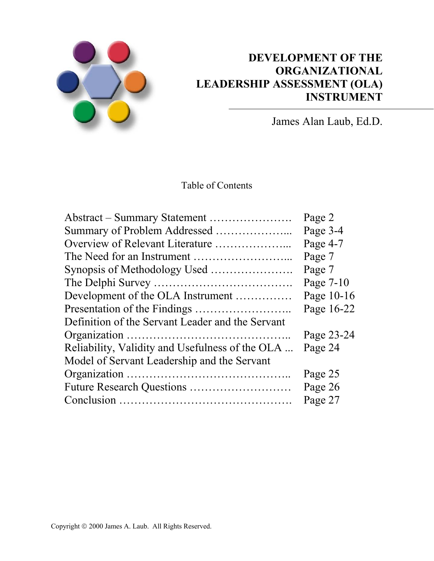

# **DEVELOPMENT OF THE ORGANIZATIONAL LEADERSHIP ASSESSMENT (OLA) INSTRUMENT**

James Alan Laub, Ed.D.

Table of Contents

|                                                  | Page 2     |
|--------------------------------------------------|------------|
|                                                  | Page 3-4   |
| Overview of Relevant Literature                  | Page 4-7   |
|                                                  | Page 7     |
|                                                  | Page 7     |
|                                                  | Page 7-10  |
| Development of the OLA Instrument                | Page 10-16 |
|                                                  | Page 16-22 |
| Definition of the Servant Leader and the Servant |            |
|                                                  | Page 23-24 |
| Reliability, Validity and Usefulness of the OLA  | Page 24    |
| Model of Servant Leadership and the Servant      |            |
|                                                  | Page 25    |
|                                                  | Page 26    |
|                                                  | Page 27    |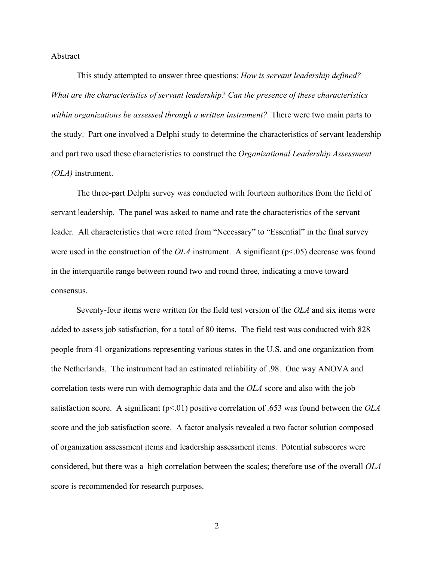#### Abstract

This study attempted to answer three questions: *How is servant leadership defined? What are the characteristics of servant leadership? Can the presence of these characteristics within organizations be assessed through a written instrument?* There were two main parts to the study. Part one involved a Delphi study to determine the characteristics of servant leadership and part two used these characteristics to construct the *Organizational Leadership Assessment (OLA)* instrument.

The three-part Delphi survey was conducted with fourteen authorities from the field of servant leadership. The panel was asked to name and rate the characteristics of the servant leader. All characteristics that were rated from "Necessary" to "Essential" in the final survey were used in the construction of the *OLA* instrument. A significant ( $p<0.05$ ) decrease was found in the interquartile range between round two and round three, indicating a move toward consensus.

Seventy-four items were written for the field test version of the *OLA* and six items were added to assess job satisfaction, for a total of 80 items. The field test was conducted with 828 people from 41 organizations representing various states in the U.S. and one organization from the Netherlands. The instrument had an estimated reliability of .98. One way ANOVA and correlation tests were run with demographic data and the *OLA* score and also with the job satisfaction score. A significant (p<.01) positive correlation of .653 was found between the *OLA* score and the job satisfaction score. A factor analysis revealed a two factor solution composed of organization assessment items and leadership assessment items. Potential subscores were considered, but there was a high correlation between the scales; therefore use of the overall *OLA* score is recommended for research purposes.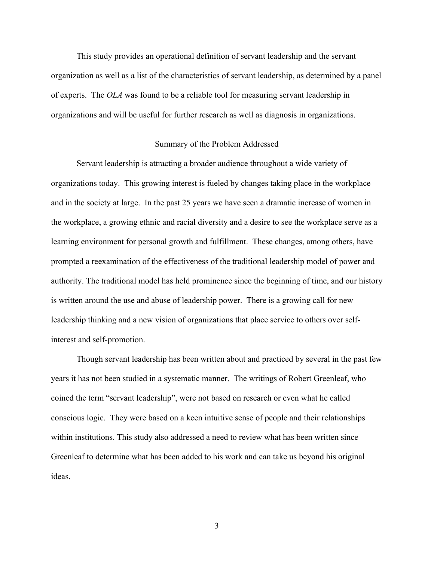This study provides an operational definition of servant leadership and the servant organization as well as a list of the characteristics of servant leadership, as determined by a panel of experts. The *OLA* was found to be a reliable tool for measuring servant leadership in organizations and will be useful for further research as well as diagnosis in organizations.

#### Summary of the Problem Addressed

Servant leadership is attracting a broader audience throughout a wide variety of organizations today. This growing interest is fueled by changes taking place in the workplace and in the society at large. In the past 25 years we have seen a dramatic increase of women in the workplace, a growing ethnic and racial diversity and a desire to see the workplace serve as a learning environment for personal growth and fulfillment. These changes, among others, have prompted a reexamination of the effectiveness of the traditional leadership model of power and authority. The traditional model has held prominence since the beginning of time, and our history is written around the use and abuse of leadership power. There is a growing call for new leadership thinking and a new vision of organizations that place service to others over selfinterest and self-promotion.

Though servant leadership has been written about and practiced by several in the past few years it has not been studied in a systematic manner. The writings of Robert Greenleaf, who coined the term "servant leadership", were not based on research or even what he called conscious logic. They were based on a keen intuitive sense of people and their relationships within institutions. This study also addressed a need to review what has been written since Greenleaf to determine what has been added to his work and can take us beyond his original ideas.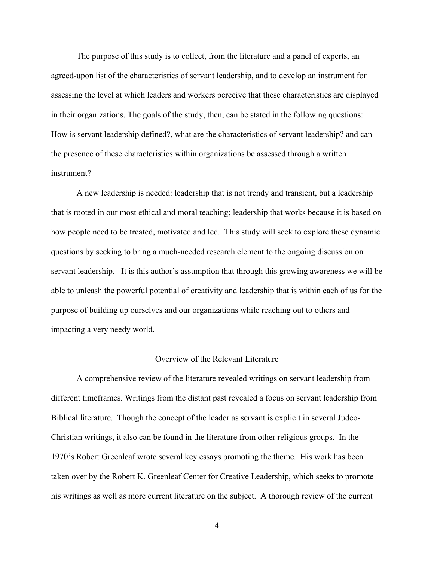The purpose of this study is to collect, from the literature and a panel of experts, an agreed-upon list of the characteristics of servant leadership, and to develop an instrument for assessing the level at which leaders and workers perceive that these characteristics are displayed in their organizations. The goals of the study, then, can be stated in the following questions: How is servant leadership defined?, what are the characteristics of servant leadership? and can the presence of these characteristics within organizations be assessed through a written instrument?

A new leadership is needed: leadership that is not trendy and transient, but a leadership that is rooted in our most ethical and moral teaching; leadership that works because it is based on how people need to be treated, motivated and led. This study will seek to explore these dynamic questions by seeking to bring a much-needed research element to the ongoing discussion on servant leadership. It is this author's assumption that through this growing awareness we will be able to unleash the powerful potential of creativity and leadership that is within each of us for the purpose of building up ourselves and our organizations while reaching out to others and impacting a very needy world.

# Overview of the Relevant Literature

A comprehensive review of the literature revealed writings on servant leadership from different timeframes. Writings from the distant past revealed a focus on servant leadership from Biblical literature. Though the concept of the leader as servant is explicit in several Judeo-Christian writings, it also can be found in the literature from other religious groups. In the 1970's Robert Greenleaf wrote several key essays promoting the theme. His work has been taken over by the Robert K. Greenleaf Center for Creative Leadership, which seeks to promote his writings as well as more current literature on the subject. A thorough review of the current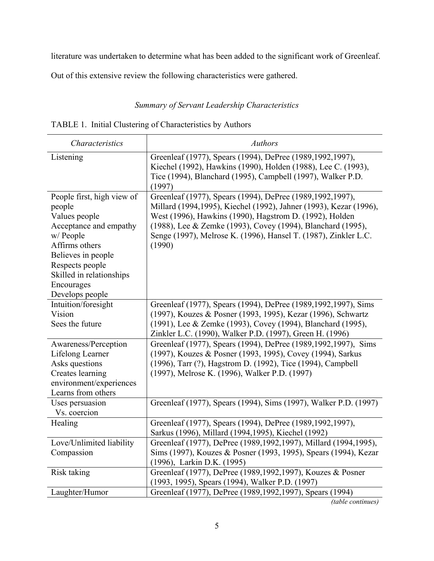literature was undertaken to determine what has been added to the significant work of Greenleaf.

Out of this extensive review the following characteristics were gathered.

# *Summary of Servant Leadership Characteristics*

| <i>Characteristics</i>                                                                                                                                                                                               | <b>Authors</b>                                                                                                                                                                                                                                                                                                                          |
|----------------------------------------------------------------------------------------------------------------------------------------------------------------------------------------------------------------------|-----------------------------------------------------------------------------------------------------------------------------------------------------------------------------------------------------------------------------------------------------------------------------------------------------------------------------------------|
| Listening                                                                                                                                                                                                            | Greenleaf (1977), Spears (1994), DePree (1989, 1992, 1997),<br>Kiechel (1992), Hawkins (1990), Holden (1988), Lee C. (1993),<br>Tice (1994), Blanchard (1995), Campbell (1997), Walker P.D.<br>(1997)                                                                                                                                   |
| People first, high view of<br>people<br>Values people<br>Acceptance and empathy<br>w/ People<br>Affirms others<br>Believes in people<br>Respects people<br>Skilled in relationships<br>Encourages<br>Develops people | Greenleaf (1977), Spears (1994), DePree (1989, 1992, 1997),<br>Millard (1994,1995), Kiechel (1992), Jahner (1993), Kezar (1996),<br>West (1996), Hawkins (1990), Hagstrom D. (1992), Holden<br>(1988), Lee & Zemke (1993), Covey (1994), Blanchard (1995),<br>Senge (1997), Melrose K. (1996), Hansel T. (1987), Zinkler L.C.<br>(1990) |
| Intuition/foresight<br>Vision<br>Sees the future                                                                                                                                                                     | Greenleaf (1977), Spears (1994), DePree (1989, 1992, 1997), Sims<br>(1997), Kouzes & Posner (1993, 1995), Kezar (1996), Schwartz<br>(1991), Lee & Zemke (1993), Covey (1994), Blanchard (1995),<br>Zinkler L.C. (1990), Walker P.D. (1997), Green H. (1996)                                                                             |
| Awareness/Perception<br>Lifelong Learner<br>Asks questions<br>Creates learning<br>environment/experiences<br>Learns from others                                                                                      | Greenleaf (1977), Spears (1994), DePree (1989, 1992, 1997), Sims<br>(1997), Kouzes & Posner (1993, 1995), Covey (1994), Sarkus<br>(1996), Tarr (?), Hagstrom D. (1992), Tice (1994), Campbell<br>(1997), Melrose K. (1996), Walker P.D. (1997)                                                                                          |
| Uses persuasion<br>Vs. coercion                                                                                                                                                                                      | Greenleaf (1977), Spears (1994), Sims (1997), Walker P.D. (1997)                                                                                                                                                                                                                                                                        |
| Healing                                                                                                                                                                                                              | Greenleaf (1977), Spears (1994), DePree (1989, 1992, 1997),<br>Sarkus (1996), Millard (1994, 1995), Kiechel (1992)                                                                                                                                                                                                                      |
| Love/Unlimited liability<br>Compassion                                                                                                                                                                               | Greenleaf (1977), DePree (1989, 1992, 1997), Millard (1994, 1995),<br>Sims (1997), Kouzes & Posner (1993, 1995), Spears (1994), Kezar<br>(1996), Larkin D.K. (1995)                                                                                                                                                                     |
| Risk taking                                                                                                                                                                                                          | Greenleaf (1977), DePree (1989, 1992, 1997), Kouzes & Posner<br>(1993, 1995), Spears (1994), Walker P.D. (1997)                                                                                                                                                                                                                         |
| Laughter/Humor                                                                                                                                                                                                       | Greenleaf (1977), DePree (1989, 1992, 1997), Spears (1994)                                                                                                                                                                                                                                                                              |

|  |  | TABLE 1. Initial Clustering of Characteristics by Authors |  |
|--|--|-----------------------------------------------------------|--|
|--|--|-----------------------------------------------------------|--|

*(table continues)*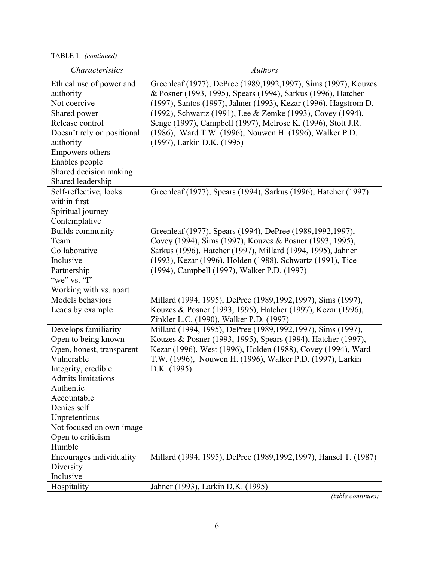TABLE 1. *(continued)*

| Characteristics                                                                                                                                                                                                                                                   | <b>Authors</b>                                                                                                                                                                                                                                                                                                                                                                                                             |
|-------------------------------------------------------------------------------------------------------------------------------------------------------------------------------------------------------------------------------------------------------------------|----------------------------------------------------------------------------------------------------------------------------------------------------------------------------------------------------------------------------------------------------------------------------------------------------------------------------------------------------------------------------------------------------------------------------|
| Ethical use of power and<br>authority<br>Not coercive<br>Shared power<br>Release control<br>Doesn't rely on positional<br>authority<br>Empowers others<br>Enables people<br>Shared decision making<br>Shared leadership                                           | Greenleaf (1977), DePree (1989, 1992, 1997), Sims (1997), Kouzes<br>& Posner (1993, 1995), Spears (1994), Sarkus (1996), Hatcher<br>(1997), Santos (1997), Jahner (1993), Kezar (1996), Hagstrom D.<br>(1992), Schwartz (1991), Lee & Zemke (1993), Covey (1994),<br>Senge (1997), Campbell (1997), Melrose K. (1996), Stott J.R.<br>(1986), Ward T.W. (1996), Nouwen H. (1996), Walker P.D.<br>(1997), Larkin D.K. (1995) |
| Self-reflective, looks<br>within first<br>Spiritual journey<br>Contemplative                                                                                                                                                                                      | Greenleaf (1977), Spears (1994), Sarkus (1996), Hatcher (1997)                                                                                                                                                                                                                                                                                                                                                             |
| Builds community<br>Team<br>Collaborative<br>Inclusive<br>Partnership<br>"we" vs. "I"<br>Working with vs. apart                                                                                                                                                   | Greenleaf (1977), Spears (1994), DePree (1989, 1992, 1997),<br>Covey (1994), Sims (1997), Kouzes & Posner (1993, 1995),<br>Sarkus (1996), Hatcher (1997), Millard (1994, 1995), Jahner<br>(1993), Kezar (1996), Holden (1988), Schwartz (1991), Tice<br>(1994), Campbell (1997), Walker P.D. (1997)                                                                                                                        |
| Models behaviors<br>Leads by example                                                                                                                                                                                                                              | Millard (1994, 1995), DePree (1989, 1992, 1997), Sims (1997),<br>Kouzes & Posner (1993, 1995), Hatcher (1997), Kezar (1996),<br>Zinkler L.C. (1990), Walker P.D. (1997)                                                                                                                                                                                                                                                    |
| Develops familiarity<br>Open to being known<br>Open, honest, transparent<br>Vulnerable<br>Integrity, credible<br><b>Admits</b> limitations<br>Authentic<br>Accountable<br>Denies self<br>Unpretentious<br>Not focused on own image<br>Open to criticism<br>Humble | Millard (1994, 1995), DePree (1989, 1992, 1997), Sims (1997),<br>Kouzes & Posner (1993, 1995), Spears (1994), Hatcher (1997),<br>Kezar (1996), West (1996), Holden (1988), Covey (1994), Ward<br>T.W. (1996), Nouwen H. (1996), Walker P.D. (1997), Larkin<br>D.K. (1995)                                                                                                                                                  |
| Encourages individuality<br>Diversity<br>Inclusive                                                                                                                                                                                                                | Millard (1994, 1995), DePree (1989, 1992, 1997), Hansel T. (1987)                                                                                                                                                                                                                                                                                                                                                          |
| Hospitality                                                                                                                                                                                                                                                       | Jahner (1993), Larkin D.K. (1995)                                                                                                                                                                                                                                                                                                                                                                                          |

*(table continues)*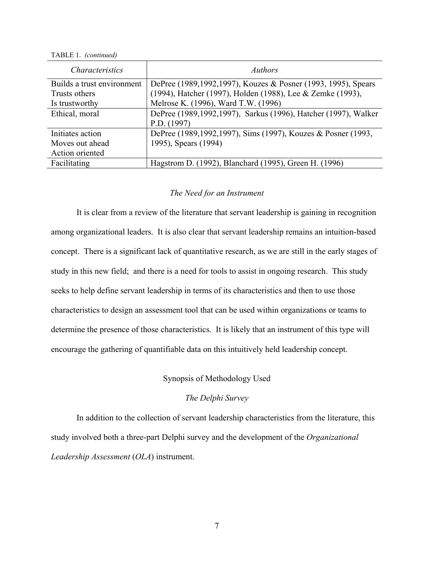TABLE 1. *(continued)*

| <i>Characteristics</i>     | <i>Authors</i>                                                   |
|----------------------------|------------------------------------------------------------------|
| Builds a trust environment | DePree (1989, 1992, 1997), Kouzes & Posner (1993, 1995), Spears  |
| Trusts others              | (1994), Hatcher (1997), Holden (1988), Lee & Zemke (1993),       |
| Is trustworthy             | Melrose K. (1996), Ward T.W. (1996)                              |
| Ethical, moral             | DePree (1989, 1992, 1997), Sarkus (1996), Hatcher (1997), Walker |
|                            | P.D. (1997)                                                      |
| Initiates action           | DePree (1989, 1992, 1997), Sims (1997), Kouzes & Posner (1993,   |
| Moves out ahead            | 1995), Spears (1994)                                             |
| Action oriented            |                                                                  |
| Facilitating               | Hagstrom D. (1992), Blanchard (1995), Green H. (1996)            |

#### *The Need for an Instrument*

It is clear from a review of the literature that servant leadership is gaining in recognition among organizational leaders. It is also clear that servant leadership remains an intuition-based concept. There is a significant lack of quantitative research, as we are still in the early stages of study in this new field; and there is a need for tools to assist in ongoing research. This study seeks to help define servant leadership in terms of its characteristics and then to use those characteristics to design an assessment tool that can be used within organizations or teams to determine the presence of those characteristics. It is likely that an instrument of this type will encourage the gathering of quantifiable data on this intuitively held leadership concept.

# Synopsis of Methodology Used

# *The Delphi Survey*

In addition to the collection of servant leadership characteristics from the literature, this study involved both a three-part Delphi survey and the development of the *Organizational Leadership Assessment* (*OLA*) instrument.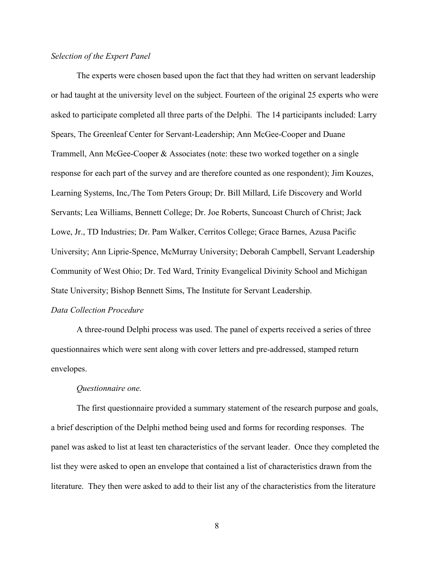# *Selection of the Expert Panel*

The experts were chosen based upon the fact that they had written on servant leadership or had taught at the university level on the subject. Fourteen of the original 25 experts who were asked to participate completed all three parts of the Delphi. The 14 participants included: Larry Spears, The Greenleaf Center for Servant-Leadership; Ann McGee-Cooper and Duane Trammell, Ann McGee-Cooper & Associates (note: these two worked together on a single response for each part of the survey and are therefore counted as one respondent); Jim Kouzes, Learning Systems, Inc,/The Tom Peters Group; Dr. Bill Millard, Life Discovery and World Servants; Lea Williams, Bennett College; Dr. Joe Roberts, Suncoast Church of Christ; Jack Lowe, Jr., TD Industries; Dr. Pam Walker, Cerritos College; Grace Barnes, Azusa Pacific University; Ann Liprie-Spence, McMurray University; Deborah Campbell, Servant Leadership Community of West Ohio; Dr. Ted Ward, Trinity Evangelical Divinity School and Michigan State University; Bishop Bennett Sims, The Institute for Servant Leadership.

## *Data Collection Procedure*

A three-round Delphi process was used. The panel of experts received a series of three questionnaires which were sent along with cover letters and pre-addressed, stamped return envelopes.

#### *Questionnaire one.*

The first questionnaire provided a summary statement of the research purpose and goals, a brief description of the Delphi method being used and forms for recording responses. The panel was asked to list at least ten characteristics of the servant leader. Once they completed the list they were asked to open an envelope that contained a list of characteristics drawn from the literature. They then were asked to add to their list any of the characteristics from the literature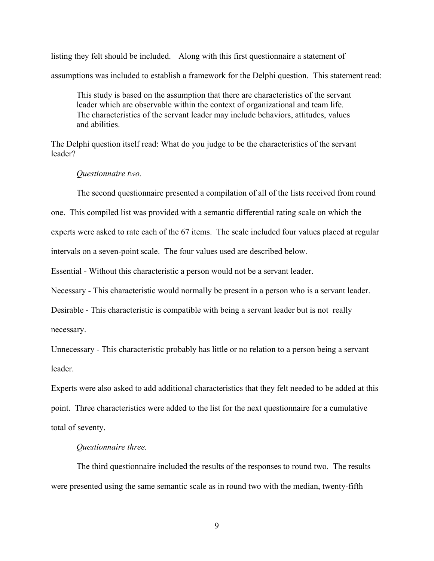listing they felt should be included. Along with this first questionnaire a statement of assumptions was included to establish a framework for the Delphi question. This statement read:

This study is based on the assumption that there are characteristics of the servant leader which are observable within the context of organizational and team life. The characteristics of the servant leader may include behaviors, attitudes, values and abilities.

The Delphi question itself read: What do you judge to be the characteristics of the servant leader?

#### *Questionnaire two.*

The second questionnaire presented a compilation of all of the lists received from round

one. This compiled list was provided with a semantic differential rating scale on which the

experts were asked to rate each of the 67 items. The scale included four values placed at regular

intervals on a seven-point scale. The four values used are described below.

Essential - Without this characteristic a person would not be a servant leader.

Necessary - This characteristic would normally be present in a person who is a servant leader.

Desirable - This characteristic is compatible with being a servant leader but is not really necessary.

Unnecessary - This characteristic probably has little or no relation to a person being a servant leader.

Experts were also asked to add additional characteristics that they felt needed to be added at this point. Three characteristics were added to the list for the next questionnaire for a cumulative total of seventy.

### *Questionnaire three.*

The third questionnaire included the results of the responses to round two. The results were presented using the same semantic scale as in round two with the median, twenty-fifth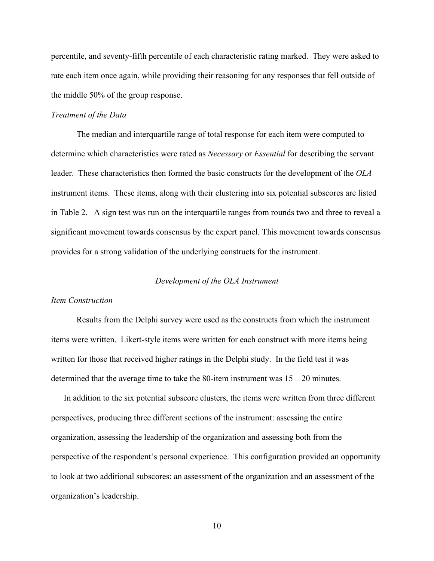percentile, and seventy-fifth percentile of each characteristic rating marked. They were asked to rate each item once again, while providing their reasoning for any responses that fell outside of the middle 50% of the group response.

#### *Treatment of the Data*

The median and interquartile range of total response for each item were computed to determine which characteristics were rated as *Necessary* or *Essential* for describing the servant leader. These characteristics then formed the basic constructs for the development of the *OLA* instrument items. These items, along with their clustering into six potential subscores are listed in Table 2. A sign test was run on the interquartile ranges from rounds two and three to reveal a significant movement towards consensus by the expert panel. This movement towards consensus provides for a strong validation of the underlying constructs for the instrument.

#### *Development of the OLA Instrument*

### *Item Construction*

Results from the Delphi survey were used as the constructs from which the instrument items were written. Likert-style items were written for each construct with more items being written for those that received higher ratings in the Delphi study. In the field test it was determined that the average time to take the 80-item instrument was  $15 - 20$  minutes.

In addition to the six potential subscore clusters, the items were written from three different perspectives, producing three different sections of the instrument: assessing the entire organization, assessing the leadership of the organization and assessing both from the perspective of the respondent's personal experience. This configuration provided an opportunity to look at two additional subscores: an assessment of the organization and an assessment of the organization's leadership.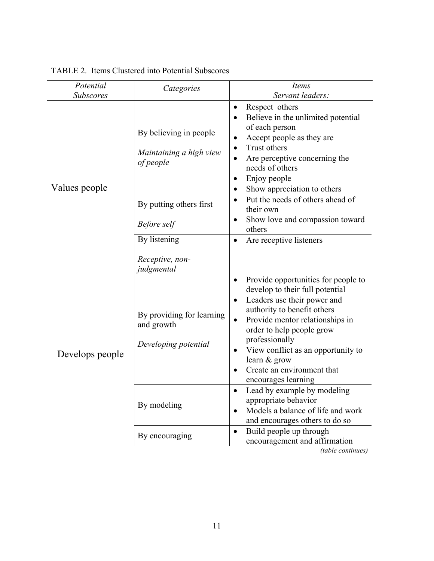| Potential<br>Categories |                                                                 | Items                                                                                                                                                                                                                                                                                                                                          |  |  |  |
|-------------------------|-----------------------------------------------------------------|------------------------------------------------------------------------------------------------------------------------------------------------------------------------------------------------------------------------------------------------------------------------------------------------------------------------------------------------|--|--|--|
| <b>Subscores</b>        |                                                                 | Servant leaders:                                                                                                                                                                                                                                                                                                                               |  |  |  |
| Values people           | By believing in people<br>Maintaining a high view<br>of people  | Respect others<br>$\bullet$<br>Believe in the unlimited potential<br>of each person<br>Accept people as they are<br>$\bullet$<br>Trust others<br>Are perceptive concerning the<br>needs of others<br>Enjoy people<br>$\bullet$<br>Show appreciation to others                                                                                  |  |  |  |
|                         | By putting others first                                         | Put the needs of others ahead of<br>$\bullet$<br>their own                                                                                                                                                                                                                                                                                     |  |  |  |
|                         | Before self                                                     | Show love and compassion toward<br>others                                                                                                                                                                                                                                                                                                      |  |  |  |
|                         | By listening                                                    | Are receptive listeners                                                                                                                                                                                                                                                                                                                        |  |  |  |
|                         | Receptive, non-<br>judgmental                                   |                                                                                                                                                                                                                                                                                                                                                |  |  |  |
| Develops people         | By providing for learning<br>and growth<br>Developing potential | Provide opportunities for people to<br>develop to their full potential<br>Leaders use their power and<br>authority to benefit others<br>Provide mentor relationships in<br>$\bullet$<br>order to help people grow<br>professionally<br>View conflict as an opportunity to<br>learn & grow<br>Create an environment that<br>encourages learning |  |  |  |
|                         | By modeling                                                     | Lead by example by modeling<br>appropriate behavior<br>Models a balance of life and work<br>and encourages others to do so                                                                                                                                                                                                                     |  |  |  |
|                         | By encouraging                                                  | Build people up through<br>$\bullet$<br>encouragement and affirmation<br>(table continues)                                                                                                                                                                                                                                                     |  |  |  |

TABLE 2. Items Clustered into Potential Subscores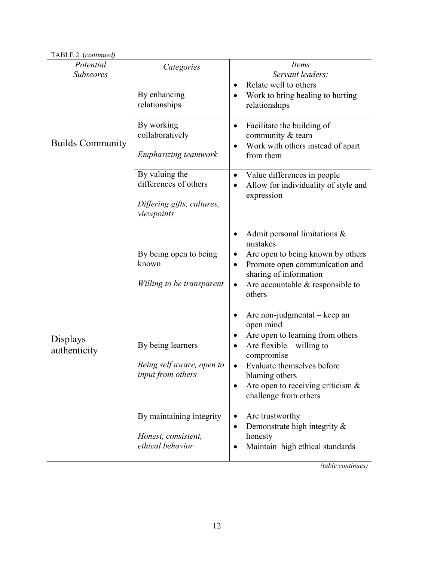| TABLE 2. (continued)          |                                                                                     |                                                                                                                                                                                                                                             |
|-------------------------------|-------------------------------------------------------------------------------------|---------------------------------------------------------------------------------------------------------------------------------------------------------------------------------------------------------------------------------------------|
| Potential<br><b>Subscores</b> | Categories                                                                          | <b>Items</b><br>Servant leaders:                                                                                                                                                                                                            |
|                               | By enhancing<br>relationships                                                       | Relate well to others<br>$\bullet$<br>Work to bring healing to hurting<br>relationships                                                                                                                                                     |
| <b>Builds Community</b>       | By working<br>collaboratively<br><b>Emphasizing teamwork</b>                        | Facilitate the building of<br>$\bullet$<br>community & team<br>Work with others instead of apart<br>from them                                                                                                                               |
|                               | By valuing the<br>differences of others<br>Differing gifts, cultures,<br>viewpoints | Value differences in people<br>Allow for individuality of style and<br>expression                                                                                                                                                           |
|                               | By being open to being<br>known<br>Willing to be transparent                        | Admit personal limitations $\&$<br>٠<br>mistakes<br>Are open to being known by others<br>Promote open communication and<br>sharing of information<br>Are accountable $\&$ responsible to<br>$\bullet$<br>others                             |
| Displays<br>authenticity      | By being learners<br>Being self aware, open to<br>input from others                 | Are non-judgmental – keep an<br>open mind<br>Are open to learning from others<br>Are flexible $-$ willing to<br>compromise<br>Evaluate themselves before<br>blaming others<br>Are open to receiving criticism $\&$<br>challenge from others |
|                               | By maintaining integrity<br>Honest, consistent,<br>ethical behavior                 | Are trustworthy<br>٠<br>Demonstrate high integrity $\&$<br>honesty<br>Maintain high ethical standards                                                                                                                                       |

*(table continues)*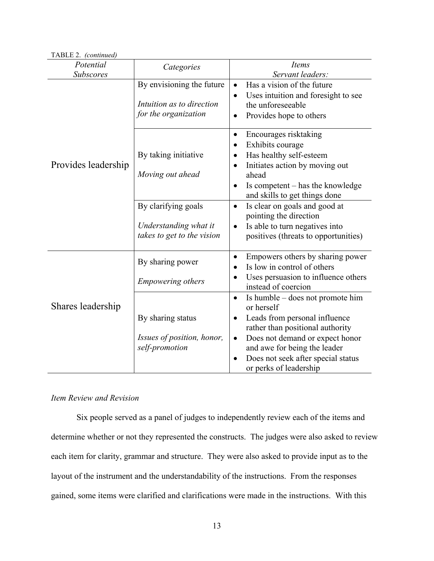| TABLE 2. (continued)   |                                                                                                                        |                                                                                                                                                                                                                                                                                                                                                                                            |
|------------------------|------------------------------------------------------------------------------------------------------------------------|--------------------------------------------------------------------------------------------------------------------------------------------------------------------------------------------------------------------------------------------------------------------------------------------------------------------------------------------------------------------------------------------|
| Potential<br>Subscores | Categories                                                                                                             | Items<br>Servant leaders:                                                                                                                                                                                                                                                                                                                                                                  |
|                        | By envisioning the future<br>Intuition as to direction<br>for the organization                                         | Has a vision of the future<br>Uses intuition and foresight to see<br>$\bullet$<br>the unforeseeable<br>Provides hope to others                                                                                                                                                                                                                                                             |
| Provides leadership    | By taking initiative<br>Moving out ahead<br>By clarifying goals<br>Understanding what it<br>takes to get to the vision | Encourages risktaking<br>$\bullet$<br>Exhibits courage<br>$\bullet$<br>Has healthy self-esteem<br>Initiates action by moving out<br>$\bullet$<br>ahead<br>Is competent – has the knowledge<br>$\bullet$<br>and skills to get things done<br>Is clear on goals and good at<br>$\bullet$<br>pointing the direction<br>Is able to turn negatives into<br>positives (threats to opportunities) |
| Shares leadership      | By sharing power<br><b>Empowering others</b><br>By sharing status                                                      | Empowers others by sharing power<br>$\bullet$<br>Is low in control of others<br>Uses persuasion to influence others<br>instead of coercion<br>Is humble – does not promote him<br>$\bullet$<br>or herself<br>Leads from personal influence<br>$\bullet$<br>rather than positional authority                                                                                                |
|                        | Issues of position, honor,<br>self-promotion                                                                           | Does not demand or expect honor<br>$\bullet$<br>and awe for being the leader<br>Does not seek after special status<br>or perks of leadership                                                                                                                                                                                                                                               |

# *Item Review and Revision*

Six people served as a panel of judges to independently review each of the items and determine whether or not they represented the constructs. The judges were also asked to review each item for clarity, grammar and structure. They were also asked to provide input as to the layout of the instrument and the understandability of the instructions. From the responses gained, some items were clarified and clarifications were made in the instructions. With this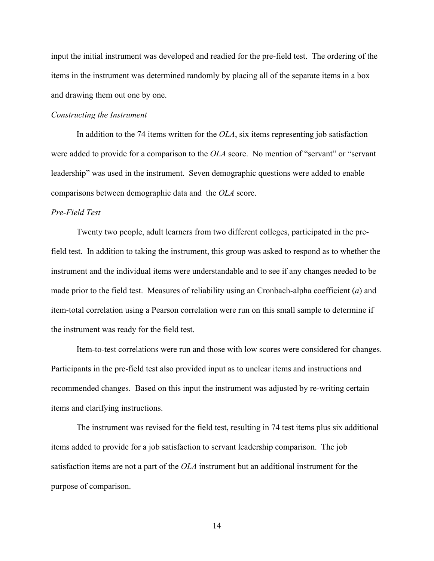input the initial instrument was developed and readied for the pre-field test. The ordering of the items in the instrument was determined randomly by placing all of the separate items in a box and drawing them out one by one.

### *Constructing the Instrument*

In addition to the 74 items written for the *OLA*, six items representing job satisfaction were added to provide for a comparison to the *OLA* score. No mention of "servant" or "servant" leadership" was used in the instrument. Seven demographic questions were added to enable comparisons between demographic data and the *OLA* score.

# *Pre-Field Test*

Twenty two people, adult learners from two different colleges, participated in the prefield test. In addition to taking the instrument, this group was asked to respond as to whether the instrument and the individual items were understandable and to see if any changes needed to be made prior to the field test. Measures of reliability using an Cronbach-alpha coefficient (*a*) and item-total correlation using a Pearson correlation were run on this small sample to determine if the instrument was ready for the field test.

Item-to-test correlations were run and those with low scores were considered for changes. Participants in the pre-field test also provided input as to unclear items and instructions and recommended changes. Based on this input the instrument was adjusted by re-writing certain items and clarifying instructions.

The instrument was revised for the field test, resulting in 74 test items plus six additional items added to provide for a job satisfaction to servant leadership comparison. The job satisfaction items are not a part of the *OLA* instrument but an additional instrument for the purpose of comparison.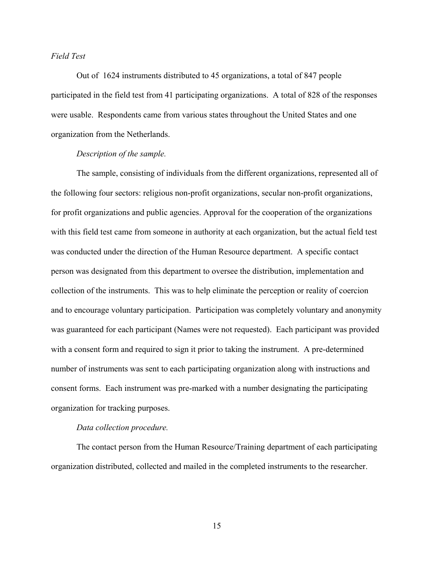## *Field Test*

Out of 1624 instruments distributed to 45 organizations, a total of 847 people participated in the field test from 41 participating organizations. A total of 828 of the responses were usable. Respondents came from various states throughout the United States and one organization from the Netherlands.

# *Description of the sample.*

The sample, consisting of individuals from the different organizations, represented all of the following four sectors: religious non-profit organizations, secular non-profit organizations, for profit organizations and public agencies. Approval for the cooperation of the organizations with this field test came from someone in authority at each organization, but the actual field test was conducted under the direction of the Human Resource department. A specific contact person was designated from this department to oversee the distribution, implementation and collection of the instruments. This was to help eliminate the perception or reality of coercion and to encourage voluntary participation. Participation was completely voluntary and anonymity was guaranteed for each participant (Names were not requested). Each participant was provided with a consent form and required to sign it prior to taking the instrument. A pre-determined number of instruments was sent to each participating organization along with instructions and consent forms. Each instrument was pre-marked with a number designating the participating organization for tracking purposes.

#### *Data collection procedure.*

The contact person from the Human Resource/Training department of each participating organization distributed, collected and mailed in the completed instruments to the researcher.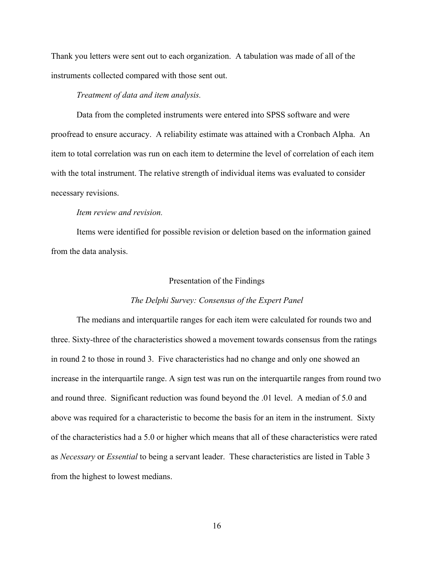Thank you letters were sent out to each organization. A tabulation was made of all of the instruments collected compared with those sent out.

# *Treatment of data and item analysis.*

Data from the completed instruments were entered into SPSS software and were proofread to ensure accuracy. A reliability estimate was attained with a Cronbach Alpha. An item to total correlation was run on each item to determine the level of correlation of each item with the total instrument. The relative strength of individual items was evaluated to consider necessary revisions.

# *Item review and revision.*

Items were identified for possible revision or deletion based on the information gained from the data analysis.

#### Presentation of the Findings

## *The Delphi Survey: Consensus of the Expert Panel*

The medians and interquartile ranges for each item were calculated for rounds two and three. Sixty-three of the characteristics showed a movement towards consensus from the ratings in round 2 to those in round 3. Five characteristics had no change and only one showed an increase in the interquartile range. A sign test was run on the interquartile ranges from round two and round three. Significant reduction was found beyond the .01 level. A median of 5.0 and above was required for a characteristic to become the basis for an item in the instrument. Sixty of the characteristics had a 5.0 or higher which means that all of these characteristics were rated as *Necessary* or *Essential* to being a servant leader. These characteristics are listed in Table 3 from the highest to lowest medians.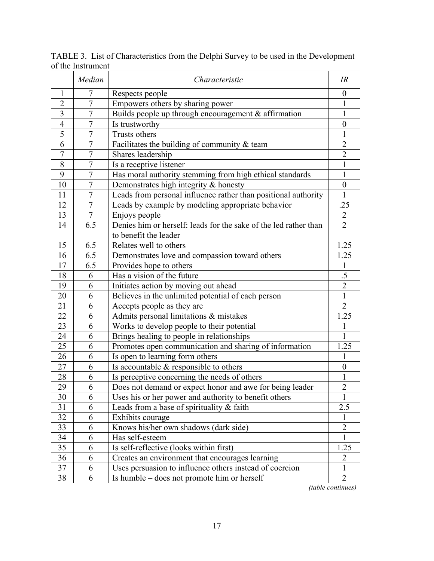|                | Median         | Characteristic                                                   | IR               |
|----------------|----------------|------------------------------------------------------------------|------------------|
| 1              | 7              | Respects people                                                  | $\theta$         |
| $\overline{2}$ | 7              | Empowers others by sharing power                                 |                  |
| 3              | 7              | Builds people up through encouragement $&$ affirmation           |                  |
| $\overline{4}$ | $\overline{7}$ | Is trustworthy                                                   | $\theta$         |
| 5              | $\overline{7}$ | Trusts others                                                    | 1                |
| 6              | $\overline{7}$ | Facilitates the building of community $&$ team                   | $\overline{2}$   |
| 7              | $\tau$         | Shares leadership                                                | $\overline{2}$   |
| 8              | $\overline{7}$ | Is a receptive listener                                          | 1                |
| 9              | $\overline{7}$ | Has moral authority stemming from high ethical standards         | 1                |
| 10             | $\overline{7}$ | Demonstrates high integrity & honesty                            | $\boldsymbol{0}$ |
| 11             | $\overline{7}$ | Leads from personal influence rather than positional authority   | 1                |
| 12             | $\overline{7}$ | Leads by example by modeling appropriate behavior                | .25              |
| 13             | $\overline{7}$ | Enjoys people                                                    | $\overline{2}$   |
| 14             | 6.5            | Denies him or herself: leads for the sake of the led rather than | $\overline{2}$   |
|                |                | to benefit the leader                                            |                  |
| 15             | 6.5            | Relates well to others                                           | 1.25             |
| 16             | 6.5            | Demonstrates love and compassion toward others                   | 1.25             |
| 17             | 6.5            | Provides hope to others                                          |                  |
| 18             | 6              | Has a vision of the future                                       | $.5\,$           |
| 19             | 6              | Initiates action by moving out ahead                             | $\overline{2}$   |
| 20             | 6              | Believes in the unlimited potential of each person               | $\mathbf{1}$     |
| 21             | 6              | Accepts people as they are                                       | $\overline{2}$   |
| 22             | 6              | Admits personal limitations & mistakes                           | 1.25             |
| 23             | 6              | Works to develop people to their potential                       |                  |
| 24             | 6              | Brings healing to people in relationships                        | 1                |
| 25             | 6              | Promotes open communication and sharing of information           | 1.25             |
| 26             | 6              | Is open to learning form others                                  |                  |
| 27             | 6              | Is accountable $\&$ responsible to others                        | $\theta$         |
| 28             | 6              | Is perceptive concerning the needs of others                     | 1                |
| 29             | 6              | Does not demand or expect honor and awe for being leader         | $\overline{2}$   |
| 30             | 6              | Uses his or her power and authority to benefit others            | 1                |
| 31             | 6              | Leads from a base of spirituality $&$ faith                      | 2.5              |
| 32             | 6              | Exhibits courage                                                 | $\mathbf{I}$     |
| 33             | 6              | Knows his/her own shadows (dark side)                            | $\overline{2}$   |
| 34             | 6              | Has self-esteem                                                  | $\mathbf{1}$     |
| 35             | 6              | Is self-reflective (looks within first)                          | 1.25             |
| 36             | 6              | Creates an environment that encourages learning                  | $\overline{2}$   |
| 37             | 6              | Uses persuasion to influence others instead of coercion          | 1                |
| 38             | 6              | Is humble – does not promote him or herself                      | $\overline{2}$   |

TABLE 3. List of Characteristics from the Delphi Survey to be used in the Development of the Instrument

*(table continues)*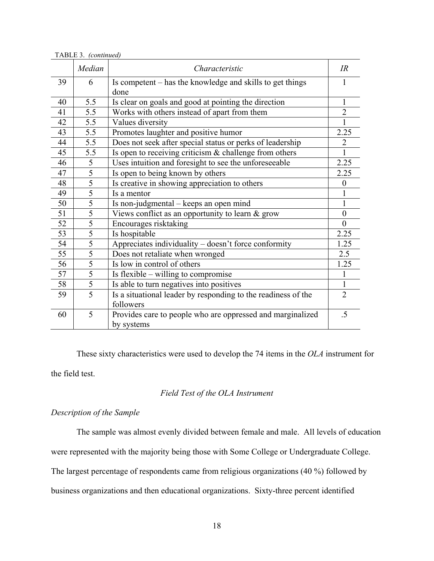|    | Median         | Characteristic                                                | IR             |
|----|----------------|---------------------------------------------------------------|----------------|
| 39 | 6              | Is competent – has the knowledge and skills to get things     |                |
|    |                | done                                                          |                |
| 40 | 5.5            | Is clear on goals and good at pointing the direction          | 1              |
| 41 | 5.5            | Works with others instead of apart from them                  | $\overline{2}$ |
| 42 | 5.5            | Values diversity                                              |                |
| 43 | 5.5            | Promotes laughter and positive humor                          | 2.25           |
| 44 | 5.5            | Does not seek after special status or perks of leadership     | $\overline{2}$ |
| 45 | 5.5            | Is open to receiving criticism & challenge from others        | 1              |
| 46 | 5              | Uses intuition and foresight to see the unforeseeable         | 2.25           |
| 47 | $\overline{5}$ | Is open to being known by others                              | 2.25           |
| 48 | 5              | Is creative in showing appreciation to others                 | $\bf{0}$       |
| 49 | $\overline{5}$ | Is a mentor                                                   |                |
| 50 | 5              | Is non-judgmental – keeps an open mind                        | 1              |
| 51 | $\overline{5}$ | Views conflict as an opportunity to learn $\&$ grow           | $\theta$       |
| 52 | $\overline{5}$ | Encourages risktaking                                         | $\theta$       |
| 53 | 5              | Is hospitable                                                 | 2.25           |
| 54 | 5              | Appreciates individuality – doesn't force conformity          | 1.25           |
| 55 | $\overline{5}$ | Does not retaliate when wronged                               | 2.5            |
| 56 | $\overline{5}$ | Is low in control of others                                   | 1.25           |
| 57 | $\overline{5}$ | Is flexible – willing to compromise                           | 1              |
| 58 | $\overline{5}$ | Is able to turn negatives into positives                      | $\mathbf{1}$   |
| 59 | 5              | Is a situational leader by responding to the readiness of the | $\overline{2}$ |
|    |                | followers                                                     |                |
| 60 | 5              | Provides care to people who are oppressed and marginalized    | .5             |
|    |                | by systems                                                    |                |

TABLE 3. *(continued)*

These sixty characteristics were used to develop the 74 items in the *OLA* instrument for the field test.

## *Field Test of the OLA Instrument*

# *Description of the Sample*

The sample was almost evenly divided between female and male. All levels of education

were represented with the majority being those with Some College or Undergraduate College.

The largest percentage of respondents came from religious organizations (40 %) followed by

business organizations and then educational organizations. Sixty-three percent identified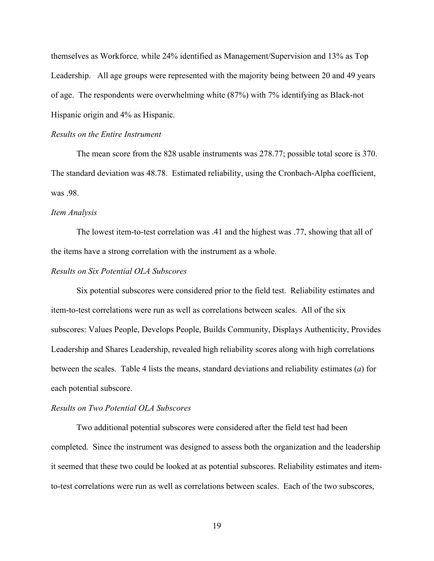themselves as Workforce*,* while 24% identified as Management/Supervision and 13% as Top Leadership. All age groups were represented with the majority being between 20 and 49 years of age. The respondents were overwhelming white (87%) with 7% identifying as Black-not Hispanic origin and 4% as Hispanic*.*

#### *Results on the Entire Instrument*

The mean score from the 828 usable instruments was 278.77; possible total score is 370. The standard deviation was 48.78. Estimated reliability, using the Cronbach-Alpha coefficient, was 98

#### *Item Analysis*

The lowest item-to-test correlation was .41 and the highest was .77, showing that all of the items have a strong correlation with the instrument as a whole.

#### *Results on Six Potential OLA Subscores*

Six potential subscores were considered prior to the field test. Reliability estimates and item-to-test correlations were run as well as correlations between scales. All of the six subscores: Values People, Develops People, Builds Community, Displays Authenticity, Provides Leadership and Shares Leadership, revealed high reliability scores along with high correlations between the scales. Table 4 lists the means, standard deviations and reliability estimates (*a*) for each potential subscore.

#### *Results on Two Potential OLA Subscores*

Two additional potential subscores were considered after the field test had been completed. Since the instrument was designed to assess both the organization and the leadership it seemed that these two could be looked at as potential subscores. Reliability estimates and itemto-test correlations were run as well as correlations between scales. Each of the two subscores,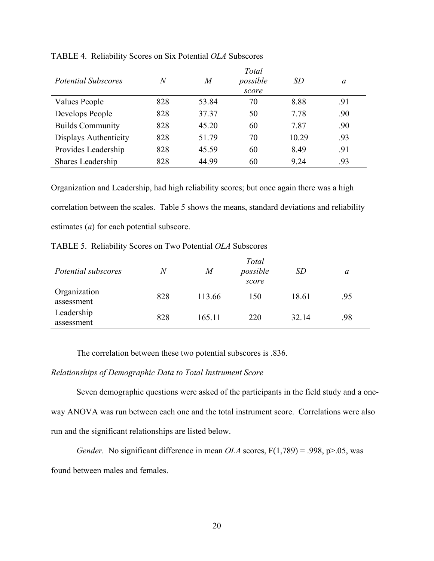| <i>Potential Subscores</i> | $\,N$ | M     | Total<br>possible<br>score | SD    | a   |
|----------------------------|-------|-------|----------------------------|-------|-----|
| Values People              | 828   | 53.84 | 70                         | 8.88  | .91 |
| Develops People            | 828   | 37.37 | 50                         | 7.78  | .90 |
| <b>Builds Community</b>    | 828   | 45.20 | 60                         | 7.87  | .90 |
| Displays Authenticity      | 828   | 51.79 | 70                         | 10.29 | .93 |
| Provides Leadership        | 828   | 45.59 | 60                         | 8.49  | .91 |
| Shares Leadership          | 828   | 44.99 | 60                         | 9 24  | .93 |

TABLE 4. Reliability Scores on Six Potential *OLA* Subscores

Organization and Leadership, had high reliability scores; but once again there was a high correlation between the scales. Table 5 shows the means, standard deviations and reliability estimates (*a*) for each potential subscore.

TABLE 5. Reliability Scores on Two Potential *OLA* Subscores

| Potential subscores        | N   | M      | Total<br>possible<br>score | SD    | a   |
|----------------------------|-----|--------|----------------------------|-------|-----|
| Organization<br>assessment | 828 | 113.66 | 150                        | 18.61 | .95 |
| Leadership<br>assessment   | 828 | 165.11 | 220                        | 32.14 | .98 |

The correlation between these two potential subscores is .836.

# *Relationships of Demographic Data to Total Instrument Score*

Seven demographic questions were asked of the participants in the field study and a oneway ANOVA was run between each one and the total instrument score. Correlations were also run and the significant relationships are listed below.

*Gender.* No significant difference in mean *OLA* scores,  $F(1,789) = .998$ ,  $p > .05$ , was found between males and females.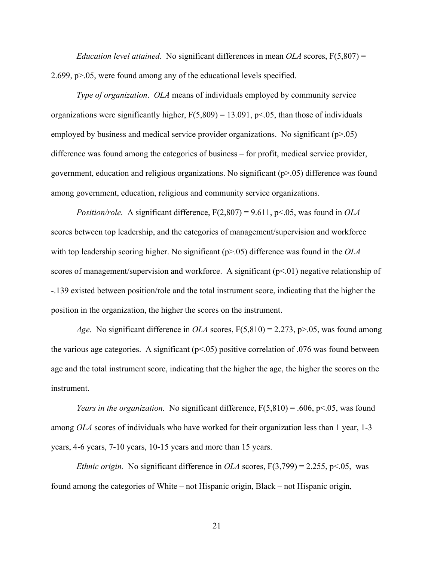*Education level attained.* No significant differences in mean *OLA* scores,  $F(5,807) =$ 2.699, p>.05, were found among any of the educational levels specified.

*Type of organization*. *OLA* means of individuals employed by community service organizations were significantly higher,  $F(5,809) = 13.091$ ,  $p<.05$ , than those of individuals employed by business and medical service provider organizations. No significant ( $p>0.05$ ) difference was found among the categories of business – for profit, medical service provider, government, education and religious organizations. No significant  $(p>0.05)$  difference was found among government, education, religious and community service organizations.

*Position/role.* A significant difference, F(2,807) = 9.611, p<.05, was found in *OLA* scores between top leadership, and the categories of management/supervision and workforce with top leadership scoring higher. No significant ( $p$ >.05) difference was found in the *OLA* scores of management/supervision and workforce. A significant  $(p<0.01)$  negative relationship of -.139 existed between position/role and the total instrument score, indicating that the higher the position in the organization, the higher the scores on the instrument.

*Age.* No significant difference in *OLA* scores, F(5,810) = 2.273, p>.05, was found among the various age categories. A significant  $(p<0.05)$  positive correlation of 0.076 was found between age and the total instrument score, indicating that the higher the age, the higher the scores on the instrument.

*Years in the organization.* No significant difference,  $F(5,810) = .606$ ,  $p<.05$ , was found among *OLA* scores of individuals who have worked for their organization less than 1 year, 1-3 years, 4-6 years, 7-10 years, 10-15 years and more than 15 years.

*Ethnic origin.* No significant difference in *OLA* scores,  $F(3,799) = 2.255$ ,  $p \le 0.05$ , was found among the categories of White – not Hispanic origin, Black – not Hispanic origin,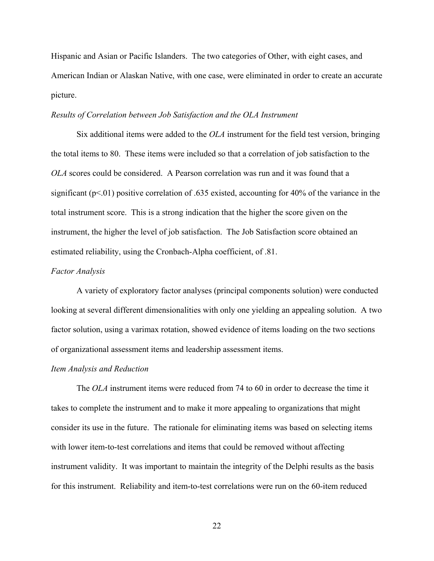Hispanic and Asian or Pacific Islanders. The two categories of Other, with eight cases, and American Indian or Alaskan Native, with one case, were eliminated in order to create an accurate picture.

#### *Results of Correlation between Job Satisfaction and the OLA Instrument*

Six additional items were added to the *OLA* instrument for the field test version, bringing the total items to 80. These items were included so that a correlation of job satisfaction to the *OLA* scores could be considered. A Pearson correlation was run and it was found that a significant ( $p<.01$ ) positive correlation of .635 existed, accounting for 40% of the variance in the total instrument score. This is a strong indication that the higher the score given on the instrument, the higher the level of job satisfaction. The Job Satisfaction score obtained an estimated reliability, using the Cronbach-Alpha coefficient, of .81.

#### *Factor Analysis*

A variety of exploratory factor analyses (principal components solution) were conducted looking at several different dimensionalities with only one yielding an appealing solution. A two factor solution, using a varimax rotation, showed evidence of items loading on the two sections of organizational assessment items and leadership assessment items.

#### *Item Analysis and Reduction*

The *OLA* instrument items were reduced from 74 to 60 in order to decrease the time it takes to complete the instrument and to make it more appealing to organizations that might consider its use in the future. The rationale for eliminating items was based on selecting items with lower item-to-test correlations and items that could be removed without affecting instrument validity. It was important to maintain the integrity of the Delphi results as the basis for this instrument. Reliability and item-to-test correlations were run on the 60-item reduced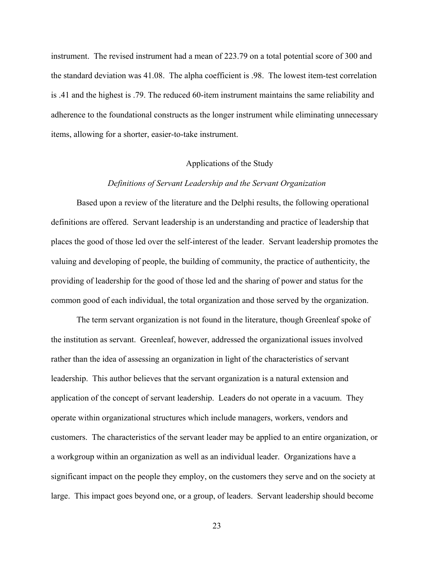instrument. The revised instrument had a mean of 223.79 on a total potential score of 300 and the standard deviation was 41.08. The alpha coefficient is .98. The lowest item-test correlation is .41 and the highest is .79. The reduced 60-item instrument maintains the same reliability and adherence to the foundational constructs as the longer instrument while eliminating unnecessary items, allowing for a shorter, easier-to-take instrument.

# Applications of the Study

## *Definitions of Servant Leadership and the Servant Organization*

Based upon a review of the literature and the Delphi results, the following operational definitions are offered. Servant leadership is an understanding and practice of leadership that places the good of those led over the self-interest of the leader. Servant leadership promotes the valuing and developing of people, the building of community, the practice of authenticity, the providing of leadership for the good of those led and the sharing of power and status for the common good of each individual, the total organization and those served by the organization.

The term servant organization is not found in the literature, though Greenleaf spoke of the institution as servant. Greenleaf, however, addressed the organizational issues involved rather than the idea of assessing an organization in light of the characteristics of servant leadership. This author believes that the servant organization is a natural extension and application of the concept of servant leadership. Leaders do not operate in a vacuum. They operate within organizational structures which include managers, workers, vendors and customers. The characteristics of the servant leader may be applied to an entire organization, or a workgroup within an organization as well as an individual leader. Organizations have a significant impact on the people they employ, on the customers they serve and on the society at large. This impact goes beyond one, or a group, of leaders. Servant leadership should become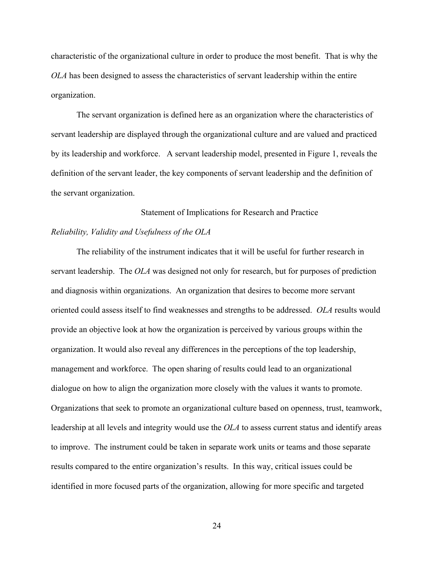characteristic of the organizational culture in order to produce the most benefit. That is why the *OLA* has been designed to assess the characteristics of servant leadership within the entire organization.

The servant organization is defined here as an organization where the characteristics of servant leadership are displayed through the organizational culture and are valued and practiced by its leadership and workforce. A servant leadership model, presented in Figure 1, reveals the definition of the servant leader, the key components of servant leadership and the definition of the servant organization.

### Statement of Implications for Research and Practice

# *Reliability, Validity and Usefulness of the OLA*

The reliability of the instrument indicates that it will be useful for further research in servant leadership. The *OLA* was designed not only for research, but for purposes of prediction and diagnosis within organizations. An organization that desires to become more servant oriented could assess itself to find weaknesses and strengths to be addressed. *OLA* results would provide an objective look at how the organization is perceived by various groups within the organization. It would also reveal any differences in the perceptions of the top leadership, management and workforce. The open sharing of results could lead to an organizational dialogue on how to align the organization more closely with the values it wants to promote. Organizations that seek to promote an organizational culture based on openness, trust, teamwork, leadership at all levels and integrity would use the *OLA* to assess current status and identify areas to improve. The instrument could be taken in separate work units or teams and those separate results compared to the entire organization's results. In this way, critical issues could be identified in more focused parts of the organization, allowing for more specific and targeted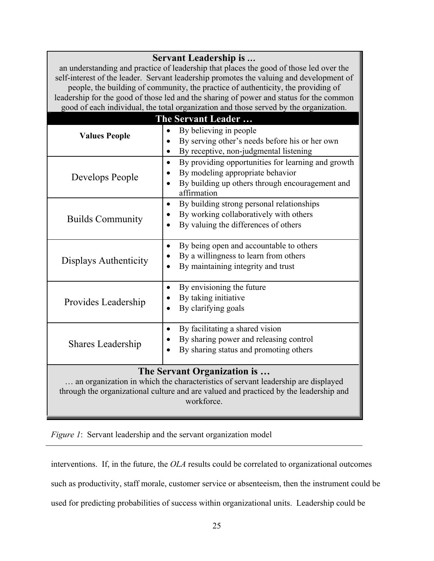| Servant Leadership is<br>an understanding and practice of leadership that places the good of those led over the<br>self-interest of the leader. Servant leadership promotes the valuing and development of<br>people, the building of community, the practice of authenticity, the providing of<br>leadership for the good of those led and the sharing of power and status for the common<br>good of each individual, the total organization and those served by the organization. |                                                                                                                                                                       |
|-------------------------------------------------------------------------------------------------------------------------------------------------------------------------------------------------------------------------------------------------------------------------------------------------------------------------------------------------------------------------------------------------------------------------------------------------------------------------------------|-----------------------------------------------------------------------------------------------------------------------------------------------------------------------|
| The Servant Leader                                                                                                                                                                                                                                                                                                                                                                                                                                                                  |                                                                                                                                                                       |
| <b>Values People</b>                                                                                                                                                                                                                                                                                                                                                                                                                                                                | By believing in people<br>$\bullet$<br>By serving other's needs before his or her own<br>By receptive, non-judgmental listening<br>$\bullet$                          |
| Develops People                                                                                                                                                                                                                                                                                                                                                                                                                                                                     | By providing opportunities for learning and growth<br>$\bullet$<br>By modeling appropriate behavior<br>By building up others through encouragement and<br>affirmation |
| <b>Builds Community</b>                                                                                                                                                                                                                                                                                                                                                                                                                                                             | By building strong personal relationships<br>$\bullet$<br>By working collaboratively with others<br>By valuing the differences of others                              |
| Displays Authenticity                                                                                                                                                                                                                                                                                                                                                                                                                                                               | By being open and accountable to others<br>$\bullet$<br>By a willingness to learn from others<br>٠<br>By maintaining integrity and trust                              |
| Provides Leadership                                                                                                                                                                                                                                                                                                                                                                                                                                                                 | By envisioning the future<br>$\bullet$<br>By taking initiative<br>By clarifying goals                                                                                 |
| <b>Shares Leadership</b>                                                                                                                                                                                                                                                                                                                                                                                                                                                            | By facilitating a shared vision<br>$\bullet$<br>By sharing power and releasing control<br>By sharing status and promoting others                                      |
| The Servant Organization is<br>an organization in which the characteristics of servant leadership are displayed<br>through the organizational culture and are valued and practiced by the leadership and<br>workforce.                                                                                                                                                                                                                                                              |                                                                                                                                                                       |

*Figure 1*: Servant leadership and the servant organization model

interventions. If, in the future, the *OLA* results could be correlated to organizational outcomes

such as productivity, staff morale, customer service or absenteeism, then the instrument could be

used for predicting probabilities of success within organizational units. Leadership could be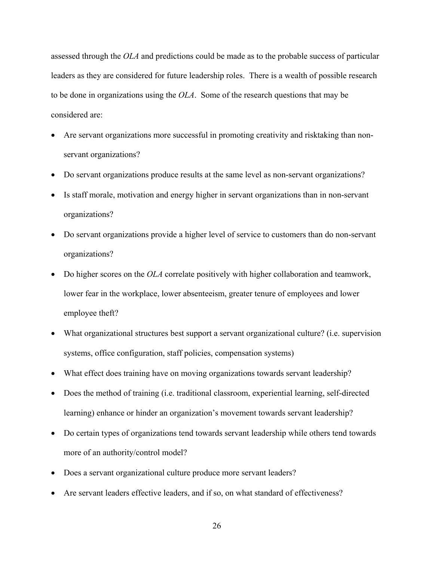assessed through the *OLA* and predictions could be made as to the probable success of particular leaders as they are considered for future leadership roles. There is a wealth of possible research to be done in organizations using the *OLA*. Some of the research questions that may be considered are:

- Are servant organizations more successful in promoting creativity and risktaking than nonservant organizations?
- Do servant organizations produce results at the same level as non-servant organizations?
- Is staff morale, motivation and energy higher in servant organizations than in non-servant organizations?
- Do servant organizations provide a higher level of service to customers than do non-servant organizations?
- Do higher scores on the *OLA* correlate positively with higher collaboration and teamwork, lower fear in the workplace, lower absenteeism, greater tenure of employees and lower employee theft?
- What organizational structures best support a servant organizational culture? (i.e. supervision systems, office configuration, staff policies, compensation systems)
- What effect does training have on moving organizations towards servant leadership?
- Does the method of training (i.e. traditional classroom, experiential learning, self-directed learning) enhance or hinder an organization's movement towards servant leadership?
- Do certain types of organizations tend towards servant leadership while others tend towards more of an authority/control model?
- Does a servant organizational culture produce more servant leaders?
- Are servant leaders effective leaders, and if so, on what standard of effectiveness?